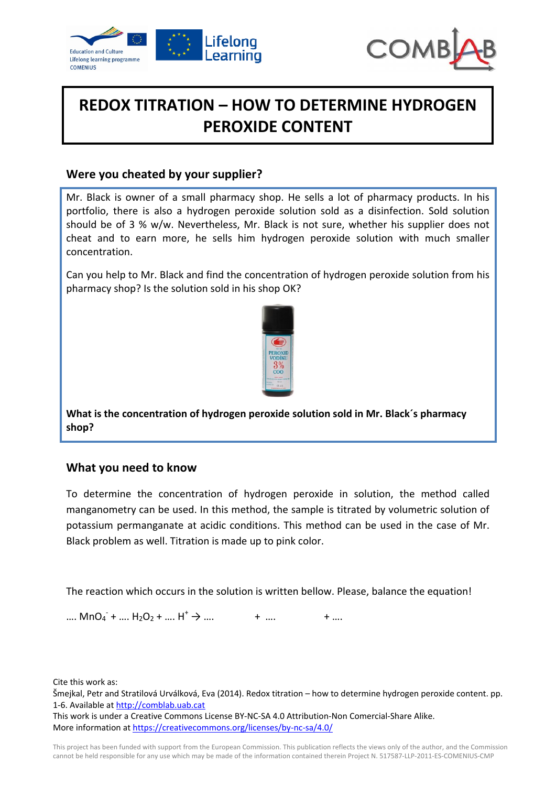



# **REDOX TITRATION – HOW TO DETERMINE HYDROGEN PEROXIDE CONTENT**

### **Were you cheated by your supplier?**

Mr. Black is owner of a small pharmacy shop. He sells a lot of pharmacy products. In his portfolio, there is also a hydrogen peroxide solution sold as a disinfection. Sold solution should be of 3 % w/w. Nevertheless, Mr. Black is not sure, whether his supplier does not cheat and to earn more, he sells him hydrogen peroxide solution with much smaller concentration.

Can you help to Mr. Black and find the concentration of hydrogen peroxide solution from his pharmacy shop? Is the solution sold in his shop OK?



**What is the concentration of hydrogen peroxide solution sold in Mr. Black´s pharmacy shop?**

#### **What you need to know**

To determine the concentration of hydrogen peroxide in solution, the method called manganometry can be used. In this method, the sample is titrated by volumetric solution of potassium permanganate at acidic conditions. This method can be used in the case of Mr. Black problem as well. Titration is made up to pink color.

The reaction which occurs in the solution is written bellow. Please, balance the equation!

....  $MnO_4 + ... H_2O_2 + ... H^+ \rightarrow ...$  + .... + ...

Cite this work as:

Šmejkal, Petr and Stratilová Urválková, Eva (2014). Redox titration – how to determine hydrogen peroxide content. pp. 1‐6. Available at http://comblab.uab.cat

This work is under a Creative Commons License BY‐NC‐SA 4.0 Attribution‐Non Comercial‐Share Alike. More information at https://creativecommons.org/licenses/by-nc-sa/4.0/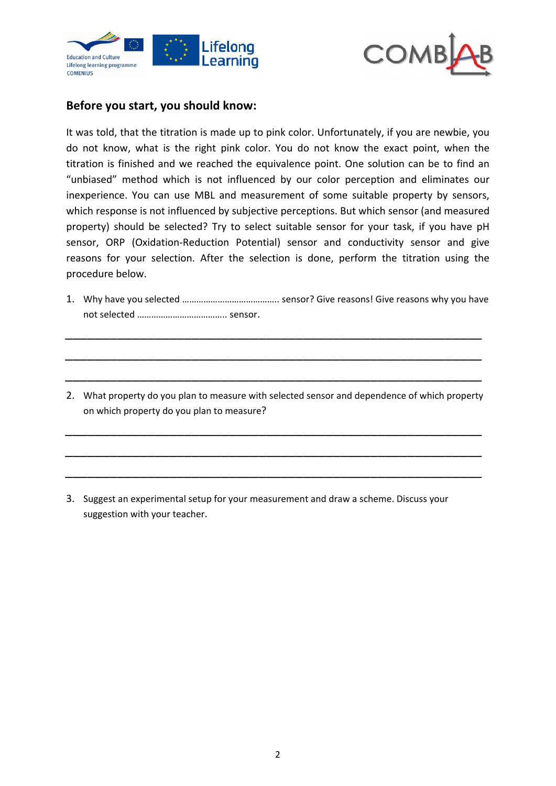



### **Before you start, you should know:**

It was told, that the titration is made up to pink color. Unfortunately, if you are newbie, you do not know, what is the right pink color. You do not know the exact point, when the titration is finished and we reached the equivalence point. One solution can be to find an "unbiased" method which is not influenced by our color perception and eliminates our inexperience. You can use MBL and measurement of some suitable property by sensors, which response is not influenced by subjective perceptions. But which sensor (and measured property) should be selected? Try to select suitable sensor for your task, if you have pH sensor, ORP (Oxidation-Reduction Potential) sensor and conductivity sensor and give reasons for your selection. After the selection is done, perform the titration using the procedure below.

1. Why have you selected ………………………………….. sensor? Give reasons! Give reasons why you have not selected ……………………………….. sensor.

*\_\_\_\_\_\_\_\_\_\_\_\_\_\_\_\_\_\_\_\_\_\_\_\_\_\_\_\_\_\_\_\_\_\_\_\_\_\_\_\_\_\_\_\_\_\_\_\_\_\_\_\_\_\_\_\_*

*\_\_\_\_\_\_\_\_\_\_\_\_\_\_\_\_\_\_\_\_\_\_\_\_\_\_\_\_\_\_\_\_\_\_\_\_\_\_\_\_\_\_\_\_\_\_\_\_\_\_\_\_\_\_\_\_*

*\_\_\_\_\_\_\_\_\_\_\_\_\_\_\_\_\_\_\_\_\_\_\_\_\_\_\_\_\_\_\_\_\_\_\_\_\_\_\_\_\_\_\_\_\_\_\_\_\_\_\_\_\_\_\_\_*

2. What property do you plan to measure with selected sensor and dependence of which property on which property do you plan to measure?

*\_\_\_\_\_\_\_\_\_\_\_\_\_\_\_\_\_\_\_\_\_\_\_\_\_\_\_\_\_\_\_\_\_\_\_\_\_\_\_\_\_\_\_\_\_\_\_\_\_\_\_\_\_\_\_\_*

*\_\_\_\_\_\_\_\_\_\_\_\_\_\_\_\_\_\_\_\_\_\_\_\_\_\_\_\_\_\_\_\_\_\_\_\_\_\_\_\_\_\_\_\_\_\_\_\_\_\_\_\_\_\_\_\_*

*\_\_\_\_\_\_\_\_\_\_\_\_\_\_\_\_\_\_\_\_\_\_\_\_\_\_\_\_\_\_\_\_\_\_\_\_\_\_\_\_\_\_\_\_\_\_\_\_\_\_\_\_\_\_\_\_*

3. Suggest an experimental setup for your measurement and draw a scheme. Discuss your suggestion with your teacher.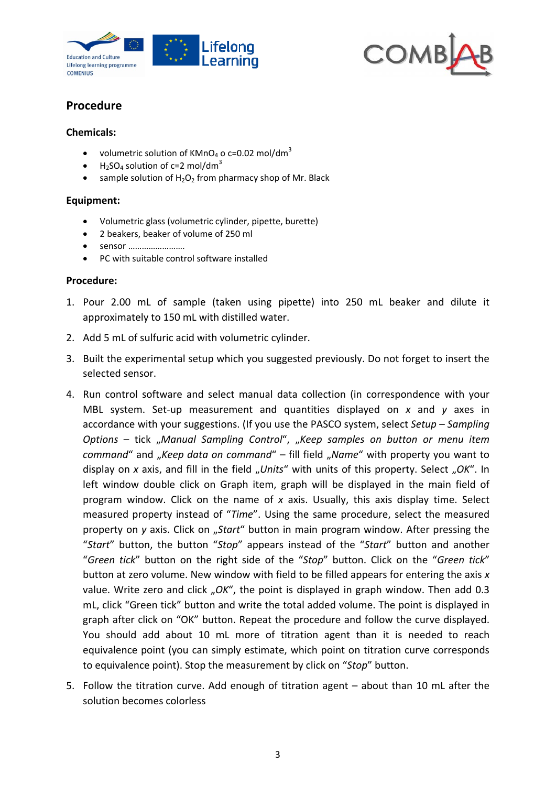



# **Procedure**

#### **Chemicals:**

- volumetric solution of KMnO<sub>4</sub> o c=0.02 mol/dm<sup>3</sup>
- $\bullet$  H<sub>2</sub>SO<sub>4</sub> solution of c=2 mol/dm<sup>3</sup>
- sample solution of  $H_2O_2$  from pharmacy shop of Mr. Black

#### **Equipment:**

- Volumetric glass (volumetric cylinder, pipette, burette)
- 2 beakers, beaker of volume of 250 ml
- sensor …………………….
- PC with suitable control software installed

#### **Procedure:**

- 1. Pour 2.00 mL of sample (taken using pipette) into 250 mL beaker and dilute it approximately to 150 mL with distilled water.
- 2. Add 5 mL of sulfuric acid with volumetric cylinder.
- 3. Built the experimental setup which you suggested previously. Do not forget to insert the selected sensor.
- 4. Run control software and select manual data collection (in correspondence with your MBL system. Set‐up measurement and quantities displayed on *x* and *y* axes in accordance with your suggestions. (If you use the PASCO system, select *Setup – Sampling Options* – tick "*Manual Sampling Control*", "*Keep samples on button or menu item command*" and "*Keep data on command*" – fill field "Name" with property you want to display on *x* axis, and fill in the field "Units" with units of this property. Select "OK". In left window double click on Graph item, graph will be displayed in the main field of program window. Click on the name of *x* axis. Usually, this axis display time. Select measured property instead of "*Time*". Using the same procedure, select the measured property on *y* axis. Click on "Start" button in main program window. After pressing the "*Start*" button, the button "*Stop*" appears instead of the "*Start*" button and another "*Green tick*" button on the right side of the "*Stop*" button. Click on the "*Green tick*" button at zero volume. New window with field to be filled appears for entering the axis *x* value. Write zero and click "OK", the point is displayed in graph window. Then add 0.3 mL, click "Green tick" button and write the total added volume. The point is displayed in graph after click on "OK" button. Repeat the procedure and follow the curve displayed. You should add about 10 mL more of titration agent than it is needed to reach equivalence point (you can simply estimate, which point on titration curve corresponds to equivalence point). Stop the measurement by click on "*Stop*" button.
- 5. Follow the titration curve. Add enough of titration agent about than 10 mL after the solution becomes colorless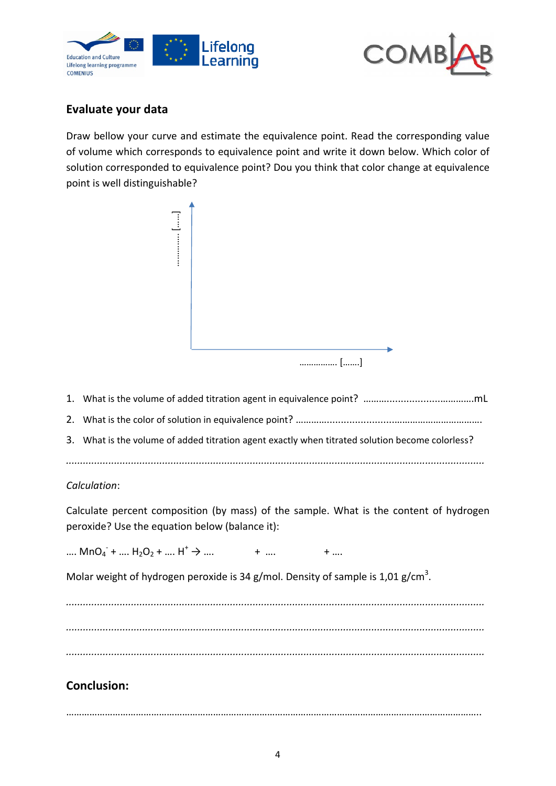



## **Evaluate your data**

Draw bellow your curve and estimate the equivalence point. Read the corresponding value of volume which corresponds to equivalence point and write it down below. Which color of solution corresponded to equivalence point? Dou you think that color change at equivalence point is well distinguishable?



- 1. What is the volume of added titration agent in equivalence point? ………...................………….mL
- 2. What is the color of solution in equivalence point? ……………………………………………………………………
- 3. What is the volume of added titration agent exactly when titrated solution become colorless?
- *....................................................................................................................................................*

#### *Calculation*:

Calculate percent composition (by mass) of the sample. What is the content of hydrogen peroxide? Use the equation below (balance it):

....  $MnO_4 + ... H_2O_2 + ... H^+$  $+$  ….  $+$  ….

Molar weight of hydrogen peroxide is 34 g/mol. Density of sample is 1,01 g/cm<sup>3</sup>.

*.................................................................................................................................................... .................................................................................................................................................... ....................................................................................................................................................*

# **Conclusion:**

……………………………………………………………………………………………………………………………………………..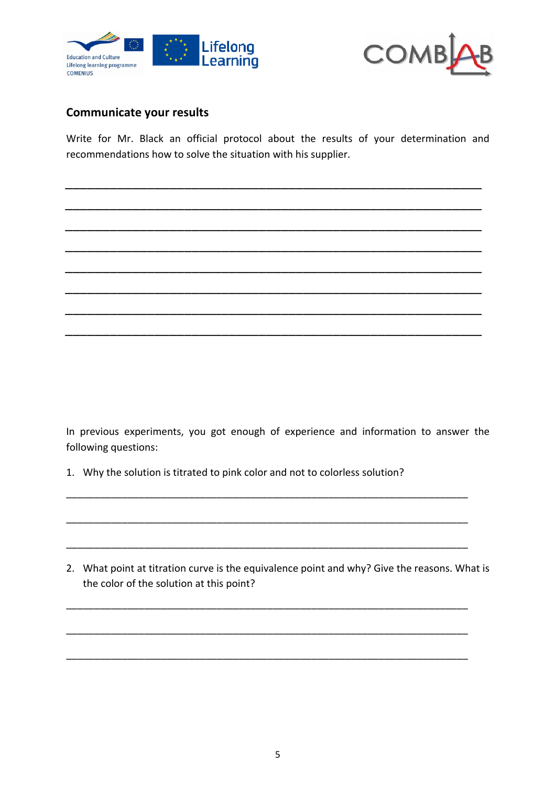



### **Communicate your results**

Write for Mr. Black an official protocol about the results of your determination and recommendations how to solve the situation with his supplier.

*\_\_\_\_\_\_\_\_\_\_\_\_\_\_\_\_\_\_\_\_\_\_\_\_\_\_\_\_\_\_\_\_\_\_\_\_\_\_\_\_\_\_\_\_\_\_\_\_\_\_\_\_\_\_\_\_*

*\_\_\_\_\_\_\_\_\_\_\_\_\_\_\_\_\_\_\_\_\_\_\_\_\_\_\_\_\_\_\_\_\_\_\_\_\_\_\_\_\_\_\_\_\_\_\_\_\_\_\_\_\_\_\_\_*

*\_\_\_\_\_\_\_\_\_\_\_\_\_\_\_\_\_\_\_\_\_\_\_\_\_\_\_\_\_\_\_\_\_\_\_\_\_\_\_\_\_\_\_\_\_\_\_\_\_\_\_\_\_\_\_\_*

*\_\_\_\_\_\_\_\_\_\_\_\_\_\_\_\_\_\_\_\_\_\_\_\_\_\_\_\_\_\_\_\_\_\_\_\_\_\_\_\_\_\_\_\_\_\_\_\_\_\_\_\_\_\_\_\_*

*\_\_\_\_\_\_\_\_\_\_\_\_\_\_\_\_\_\_\_\_\_\_\_\_\_\_\_\_\_\_\_\_\_\_\_\_\_\_\_\_\_\_\_\_\_\_\_\_\_\_\_\_\_\_\_\_*

*\_\_\_\_\_\_\_\_\_\_\_\_\_\_\_\_\_\_\_\_\_\_\_\_\_\_\_\_\_\_\_\_\_\_\_\_\_\_\_\_\_\_\_\_\_\_\_\_\_\_\_\_\_\_\_\_*

*\_\_\_\_\_\_\_\_\_\_\_\_\_\_\_\_\_\_\_\_\_\_\_\_\_\_\_\_\_\_\_\_\_\_\_\_\_\_\_\_\_\_\_\_\_\_\_\_\_\_\_\_\_\_\_\_*

*\_\_\_\_\_\_\_\_\_\_\_\_\_\_\_\_\_\_\_\_\_\_\_\_\_\_\_\_\_\_\_\_\_\_\_\_\_\_\_\_\_\_\_\_\_\_\_\_\_\_\_\_\_\_\_\_*

In previous experiments, you got enough of experience and information to answer the following questions:

\_\_\_\_\_\_\_\_\_\_\_\_\_\_\_\_\_\_\_\_\_\_\_\_\_\_\_\_\_\_\_\_\_\_\_\_\_\_\_\_\_\_\_\_\_\_\_\_\_\_\_\_\_\_\_\_\_\_\_\_\_\_\_\_\_\_\_\_\_\_\_\_

\_\_\_\_\_\_\_\_\_\_\_\_\_\_\_\_\_\_\_\_\_\_\_\_\_\_\_\_\_\_\_\_\_\_\_\_\_\_\_\_\_\_\_\_\_\_\_\_\_\_\_\_\_\_\_\_\_\_\_\_\_\_\_\_\_\_\_\_\_\_\_\_

\_\_\_\_\_\_\_\_\_\_\_\_\_\_\_\_\_\_\_\_\_\_\_\_\_\_\_\_\_\_\_\_\_\_\_\_\_\_\_\_\_\_\_\_\_\_\_\_\_\_\_\_\_\_\_\_\_\_\_\_\_\_\_\_\_\_\_\_\_\_\_\_

\_\_\_\_\_\_\_\_\_\_\_\_\_\_\_\_\_\_\_\_\_\_\_\_\_\_\_\_\_\_\_\_\_\_\_\_\_\_\_\_\_\_\_\_\_\_\_\_\_\_\_\_\_\_\_\_\_\_\_\_\_\_\_\_\_\_\_\_\_\_\_\_

\_\_\_\_\_\_\_\_\_\_\_\_\_\_\_\_\_\_\_\_\_\_\_\_\_\_\_\_\_\_\_\_\_\_\_\_\_\_\_\_\_\_\_\_\_\_\_\_\_\_\_\_\_\_\_\_\_\_\_\_\_\_\_\_\_\_\_\_\_\_\_\_

\_\_\_\_\_\_\_\_\_\_\_\_\_\_\_\_\_\_\_\_\_\_\_\_\_\_\_\_\_\_\_\_\_\_\_\_\_\_\_\_\_\_\_\_\_\_\_\_\_\_\_\_\_\_\_\_\_\_\_\_\_\_\_\_\_\_\_\_\_\_\_\_

1. Why the solution is titrated to pink color and not to colorless solution?

2. What point at titration curve is the equivalence point and why? Give the reasons. What is the color of the solution at this point?